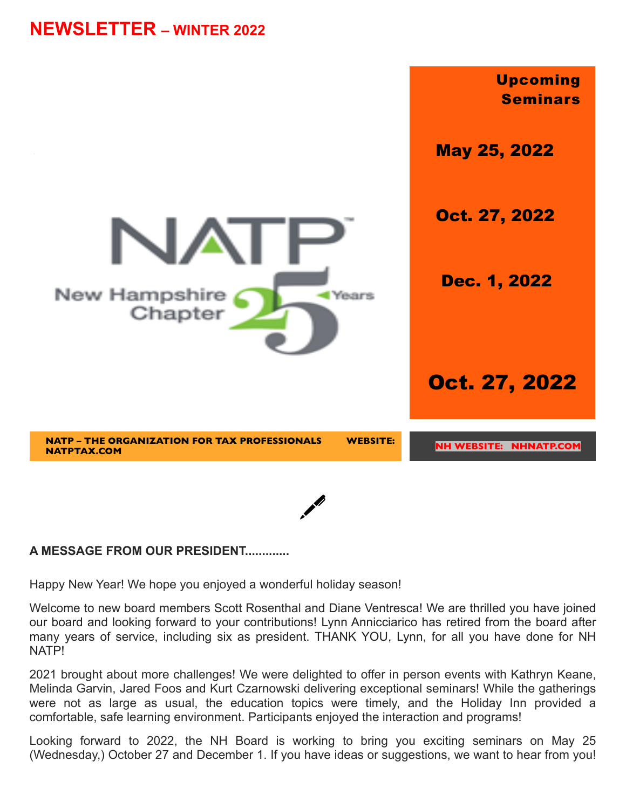# **NEWSLETTER – WINTER 2022**



### **A MESSAGE FROM OUR PRESIDENT.............**

Happy New Year! We hope you enjoyed a wonderful holiday season!

Welcome to new board members Scott Rosenthal and Diane Ventresca! We are thrilled you have joined our board and looking forward to your contributions! Lynn Annicciarico has retired from the board after many years of service, including six as president. THANK YOU, Lynn, for all you have done for NH NATP!

2021 brought about more challenges! We were delighted to offer in person events with Kathryn Keane, Melinda Garvin, Jared Foos and Kurt Czarnowski delivering exceptional seminars! While the gatherings were not as large as usual, the education topics were timely, and the Holiday Inn provided a comfortable, safe learning environment. Participants enjoyed the interaction and programs!

Looking forward to 2022, the NH Board is working to bring you exciting seminars on May 25 (Wednesday,) October 27 and December 1. If you have ideas or suggestions, we want to hear from you!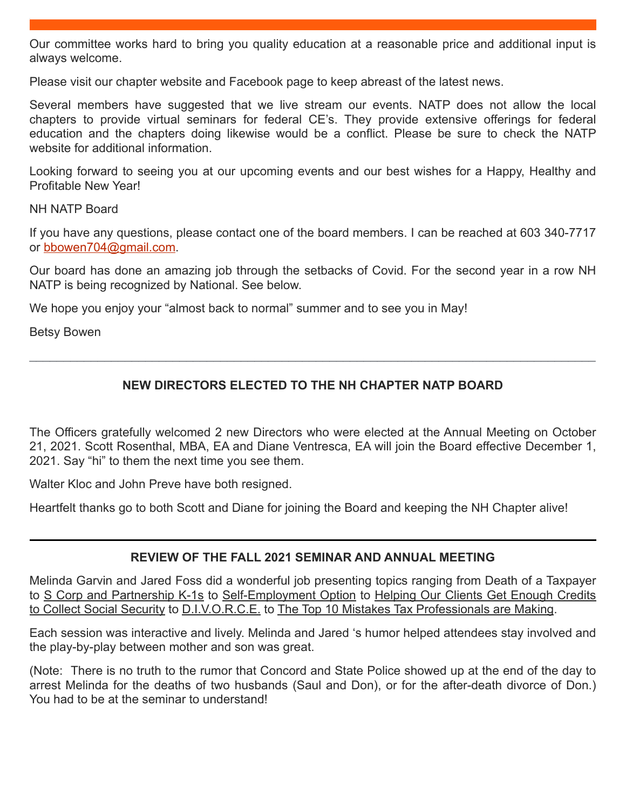Our committee works hard to bring you quality education at a reasonable price and additional input is always welcome.

Please visit our chapter website and Facebook page to keep abreast of the latest news.

Several members have suggested that we live stream our events. NATP does not allow the local chapters to provide virtual seminars for federal CE's. They provide extensive offerings for federal education and the chapters doing likewise would be a conflict. Please be sure to check the NATP website for additional information.

Looking forward to seeing you at our upcoming events and our best wishes for a Happy, Healthy and Profitable New Year!

NH NATP Board

If you have any questions, please contact one of the board members. I can be reached at 603 340-7717 or bbowen704@gmail.com.

Our board has done an amazing job through the setbacks of Covid. For the second year in a row NH NATP is being recognized by National. See below.

We hope you enjoy your "almost back to normal" summer and to see you in May!

Betsy Bowen

## **NEW DIRECTORS ELECTED TO THE NH CHAPTER NATP BOARD**

\_\_\_\_\_\_\_\_\_\_\_\_\_\_\_\_\_\_\_\_\_\_\_\_\_\_\_\_\_\_\_\_\_\_\_\_\_\_\_\_\_\_\_\_\_\_\_\_\_\_\_\_\_\_\_\_\_\_\_\_\_\_\_\_\_\_\_\_\_\_\_\_\_\_\_\_\_\_\_\_\_\_\_

The Officers gratefully welcomed 2 new Directors who were elected at the Annual Meeting on October 21, 2021. Scott Rosenthal, MBA, EA and Diane Ventresca, EA will join the Board effective December 1, 2021. Say "hi" to them the next time you see them.

Walter Kloc and John Preve have both resigned.

Heartfelt thanks go to both Scott and Diane for joining the Board and keeping the NH Chapter alive!

### **REVIEW OF THE FALL 2021 SEMINAR AND ANNUAL MEETING**

Melinda Garvin and Jared Foss did a wonderful job presenting topics ranging from Death of a Taxpayer to S Corp and Partnership K-1s to Self-Employment Option to Helping Our Clients Get Enough Credits to Collect Social Security to D.I.V.O.R.C.E. to The Top 10 Mistakes Tax Professionals are Making.

Each session was interactive and lively. Melinda and Jared 's humor helped attendees stay involved and the play-by-play between mother and son was great.

(Note: There is no truth to the rumor that Concord and State Police showed up at the end of the day to arrest Melinda for the deaths of two husbands (Saul and Don), or for the after-death divorce of Don.) You had to be at the seminar to understand!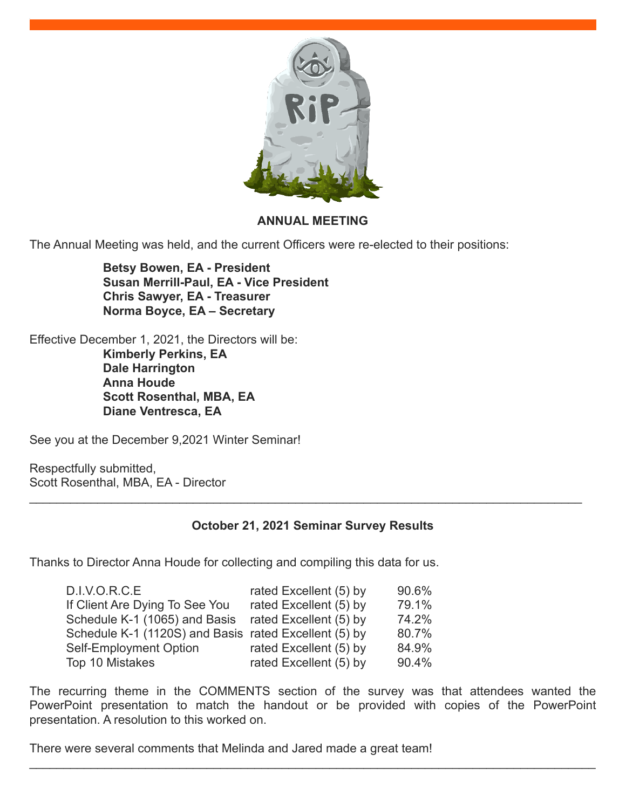

### **ANNUAL MEETING**

The Annual Meeting was held, and the current Officers were re-elected to their positions:

**Betsy Bowen, EA - President Susan Merrill-Paul, EA - Vice President Chris Sawyer, EA - Treasurer Norma Boyce, EA – Secretary**

Effective December 1, 2021, the Directors will be: **Kimberly Perkins, EA Dale Harrington Anna Houde Scott Rosenthal, MBA, EA Diane Ventresca, EA**

See you at the December 9,2021 Winter Seminar!

Respectfully submitted, Scott Rosenthal, MBA, EA - Director

# **October 21, 2021 Seminar Survey Results**

\_\_\_\_\_\_\_\_\_\_\_\_\_\_\_\_\_\_\_\_\_\_\_\_\_\_\_\_\_\_\_\_\_\_\_\_\_\_\_\_\_\_\_\_\_\_\_\_\_\_\_\_\_\_\_\_\_\_\_\_\_\_\_\_\_\_\_\_\_\_\_\_\_\_\_\_\_\_\_\_\_

Thanks to Director Anna Houde for collecting and compiling this data for us.

| 90.6% |
|-------|
| 79.1% |
| 74.2% |
| 80.7% |
| 84.9% |
| 90.4% |
|       |

The recurring theme in the COMMENTS section of the survey was that attendees wanted the PowerPoint presentation to match the handout or be provided with copies of the PowerPoint presentation. A resolution to this worked on.

 $\_$ 

There were several comments that Melinda and Jared made a great team!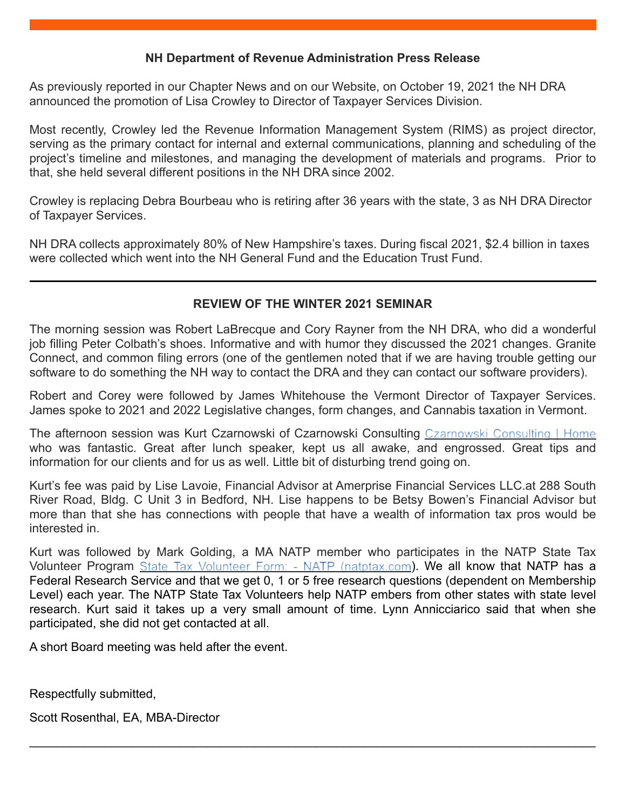### **NH Department of Revenue Administration Press Release**

As previously reported in our Chapter News and on our Website, on October 19, 2021 the NH DRA announced the promotion of Lisa Crowley to Director of Taxpayer Services Division.

Most recently, Crowley led the Revenue Information Management System (RIMS) as project director, serving as the primary contact for internal and external communications, planning and scheduling of the project's timeline and milestones, and managing the development of materials and programs. Prior to that, she held several different positions in the NH DRA since 2002.

Crowley is replacing Debra Bourbeau who is retiring after 36 years with the state, 3 as NH DRA Director of Taxpayer Services.

NH DRA collects approximately 80% of New Hampshire's taxes. During fiscal 2021, \$2.4 billion in taxes were collected which went into the NH General Fund and the Education Trust Fund.

### **REVIEW OF THE WINTER 2021 SEMINAR**

The morning session was Robert LaBrecque and Cory Rayner from the NH DRA, who did a wonderful job filling Peter Colbath's shoes. Informative and with humor they discussed the 2021 changes. Granite Connect, and common filing errors (one of the gentlemen noted that if we are having trouble getting our software to do something the NH way to contact the DRA and they can contact our software providers).

Robert and Corey were followed by James Whitehouse the Vermont Director of Taxpayer Services. James spoke to 2021 and 2022 Legislative changes, form changes, and Cannabis taxation in Vermont.

The afternoon session was Kurt Czarnowski of Czarnowski Consulting Czarnowski Consulting | Home who was fantastic. Great after lunch speaker, kept us all awake, and engrossed. Great tips and information for our clients and for us as well. Little bit of disturbing trend going on.

Kurt's fee was paid by Lise Lavoie, Financial Advisor at Amerprise Financial Services LLC.at 288 South River Road, Bldg. C Unit 3 in Bedford, NH. Lise happens to be Betsy Bowen's Financial Advisor but more than that she has connections with people that have a wealth of information tax pros would be interested in.

Kurt was followed by Mark Golding, a MA NATP member who participates in the NATP State Tax Volunteer Program State Tax Volunteer Form: - NATP (natptax.com). We all know that NATP has a Federal Research Service and that we get 0, 1 or 5 free research questions (dependent on Membership Level) each year. The NATP State Tax Volunteers help NATP embers from other states with state level research. Kurt said it takes up a very small amount of time. Lynn Annicciarico said that when she participated, she did not get contacted at all.

 $\_$ 

A short Board meeting was held after the event.

Respectfully submitted,

Scott Rosenthal, EA, MBA-Director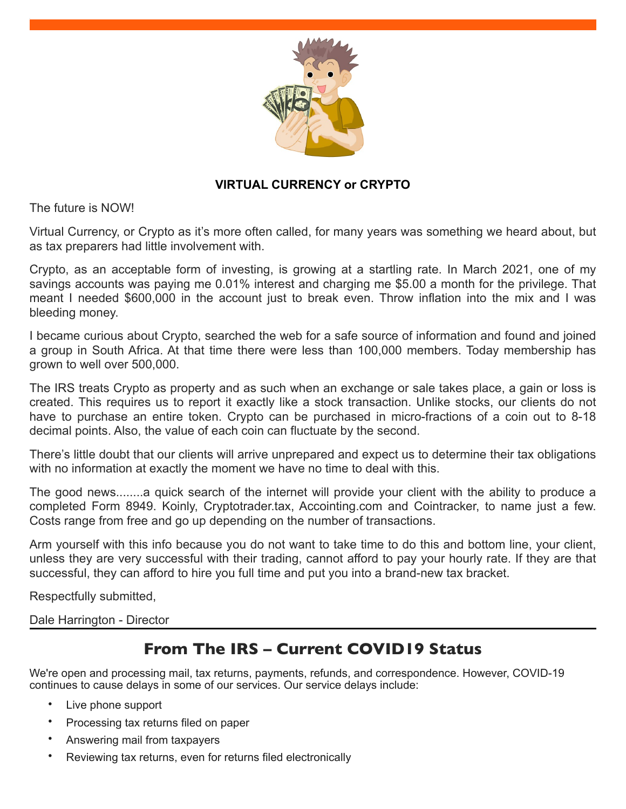

## **VIRTUAL CURRENCY or CRYPTO**

The future is NOW!

Virtual Currency, or Crypto as it's more often called, for many years was something we heard about, but as tax preparers had little involvement with.

Crypto, as an acceptable form of investing, is growing at a startling rate. In March 2021, one of my savings accounts was paying me 0.01% interest and charging me \$5.00 a month for the privilege. That meant I needed \$600,000 in the account just to break even. Throw inflation into the mix and I was bleeding money.

I became curious about Crypto, searched the web for a safe source of information and found and joined a group in South Africa. At that time there were less than 100,000 members. Today membership has grown to well over 500,000.

The IRS treats Crypto as property and as such when an exchange or sale takes place, a gain or loss is created. This requires us to report it exactly like a stock transaction. Unlike stocks, our clients do not have to purchase an entire token. Crypto can be purchased in micro-fractions of a coin out to 8-18 decimal points. Also, the value of each coin can fluctuate by the second.

There's little doubt that our clients will arrive unprepared and expect us to determine their tax obligations with no information at exactly the moment we have no time to deal with this.

The good news........a quick search of the internet will provide your client with the ability to produce a completed Form 8949. Koinly, Cryptotrader.tax, Accointing.com and Cointracker, to name just a few. Costs range from free and go up depending on the number of transactions.

Arm yourself with this info because you do not want to take time to do this and bottom line, your client, unless they are very successful with their trading, cannot afford to pay your hourly rate. If they are that successful, they can afford to hire you full time and put you into a brand-new tax bracket.

Respectfully submitted,

Dale Harrington - Director

# **From The IRS – Current COVID19 Status**

We're open and processing mail, tax returns, payments, refunds, and correspondence. However, COVID-19 continues to cause delays in some of our services. Our service delays include:

- Live phone support
- Processing tax returns filed on paper
- Answering mail from taxpayers
- Reviewing tax returns, even for returns filed electronically